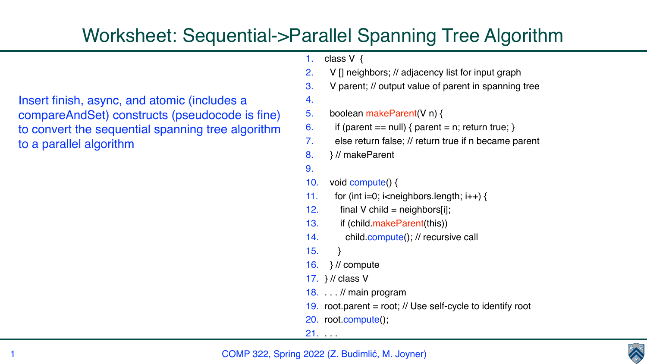## COMP 322, Spring 2022 (Z. Budimlić, M. Joyner)



Insert finish, async, and atomic (includes a compareAndSet) constructs (pseudocode is fine) to convert the sequential spanning tree algorithm to a parallel algorithm

## Worksheet: Sequential->Parallel Spanning Tree Algorithm

```
1. class V \{2. V [] neighbors; // adjacency list for input graph
3. V parent; // output value of parent in spanning tree 
4.
5. boolean makeParent(V n) {
6. if (parent == null) { parent = n; return true; }
7. else return false; // return true if n became parent 
8. } // makeParent 
9.
10. void compute() {
11. for (int i=0; i\leqneighbors.length; i++) {
12. final V child = neighbors[i];
13. if (child.makeParent(this))
14. child.compute(); // recursive call
15. } 
16. } // compute
17. } // class V
18. . . . // main program
19. root.parent = root; // Use self-cycle to identify root
20. root.compute();
21.
```